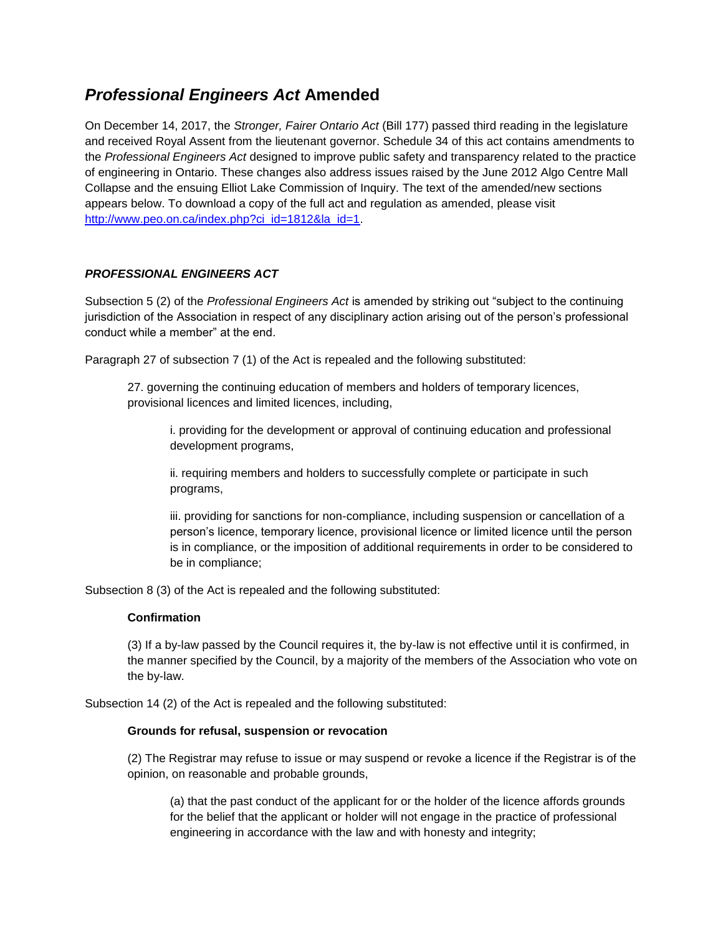# *Professional Engineers Act* **Amended**

On December 14, 2017, the *Stronger, Fairer Ontario Act* (Bill 177) passed third reading in the legislature and received Royal Assent from the lieutenant governor. Schedule 34 of this act contains amendments to the *Professional Engineers Act* designed to improve public safety and transparency related to the practice of engineering in Ontario. These changes also address issues raised by the June 2012 Algo Centre Mall Collapse and the ensuing Elliot Lake Commission of Inquiry. The text of the amended/new sections appears below. To download a copy of the full act and regulation as amended, please visit [http://www.peo.on.ca/index.php?ci\\_id=1812&la\\_id=1.](http://www.peo.on.ca/index.php?ci_id=1812&la_id=1)

# *PROFESSIONAL ENGINEERS ACT*

Subsection 5 (2) of the *Professional Engineers Act* is amended by striking out "subject to the continuing jurisdiction of the Association in respect of any disciplinary action arising out of the person's professional conduct while a member" at the end.

Paragraph 27 of subsection 7 (1) of the Act is repealed and the following substituted:

27. governing the continuing education of members and holders of temporary licences, provisional licences and limited licences, including,

i. providing for the development or approval of continuing education and professional development programs,

ii. requiring members and holders to successfully complete or participate in such programs,

iii. providing for sanctions for non-compliance, including suspension or cancellation of a person's licence, temporary licence, provisional licence or limited licence until the person is in compliance, or the imposition of additional requirements in order to be considered to be in compliance;

Subsection 8 (3) of the Act is repealed and the following substituted:

# **Confirmation**

(3) If a by-law passed by the Council requires it, the by-law is not effective until it is confirmed, in the manner specified by the Council, by a majority of the members of the Association who vote on the by-law.

Subsection 14 (2) of the Act is repealed and the following substituted:

# **Grounds for refusal, suspension or revocation**

(2) The Registrar may refuse to issue or may suspend or revoke a licence if the Registrar is of the opinion, on reasonable and probable grounds,

(a) that the past conduct of the applicant for or the holder of the licence affords grounds for the belief that the applicant or holder will not engage in the practice of professional engineering in accordance with the law and with honesty and integrity;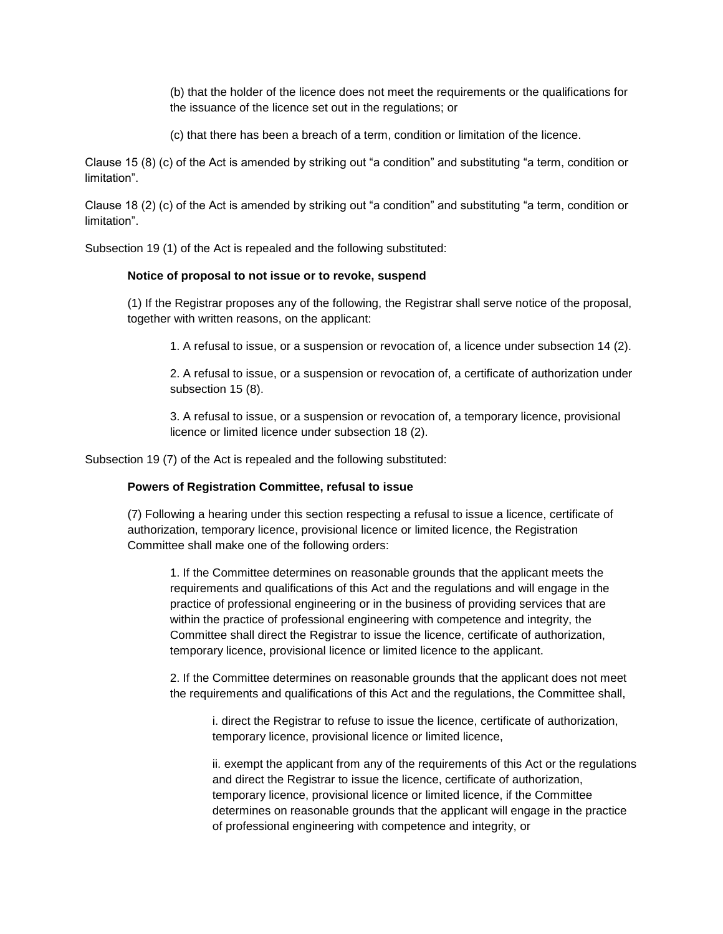(b) that the holder of the licence does not meet the requirements or the qualifications for the issuance of the licence set out in the regulations; or

(c) that there has been a breach of a term, condition or limitation of the licence.

Clause 15 (8) (c) of the Act is amended by striking out "a condition" and substituting "a term, condition or limitation".

Clause 18 (2) (c) of the Act is amended by striking out "a condition" and substituting "a term, condition or limitation".

Subsection 19 (1) of the Act is repealed and the following substituted:

## **Notice of proposal to not issue or to revoke, suspend**

(1) If the Registrar proposes any of the following, the Registrar shall serve notice of the proposal, together with written reasons, on the applicant:

1. A refusal to issue, or a suspension or revocation of, a licence under subsection 14 (2).

2. A refusal to issue, or a suspension or revocation of, a certificate of authorization under subsection 15 (8).

3. A refusal to issue, or a suspension or revocation of, a temporary licence, provisional licence or limited licence under subsection 18 (2).

Subsection 19 (7) of the Act is repealed and the following substituted:

# **Powers of Registration Committee, refusal to issue**

(7) Following a hearing under this section respecting a refusal to issue a licence, certificate of authorization, temporary licence, provisional licence or limited licence, the Registration Committee shall make one of the following orders:

1. If the Committee determines on reasonable grounds that the applicant meets the requirements and qualifications of this Act and the regulations and will engage in the practice of professional engineering or in the business of providing services that are within the practice of professional engineering with competence and integrity, the Committee shall direct the Registrar to issue the licence, certificate of authorization, temporary licence, provisional licence or limited licence to the applicant.

2. If the Committee determines on reasonable grounds that the applicant does not meet the requirements and qualifications of this Act and the regulations, the Committee shall,

i. direct the Registrar to refuse to issue the licence, certificate of authorization, temporary licence, provisional licence or limited licence,

ii. exempt the applicant from any of the requirements of this Act or the regulations and direct the Registrar to issue the licence, certificate of authorization, temporary licence, provisional licence or limited licence, if the Committee determines on reasonable grounds that the applicant will engage in the practice of professional engineering with competence and integrity, or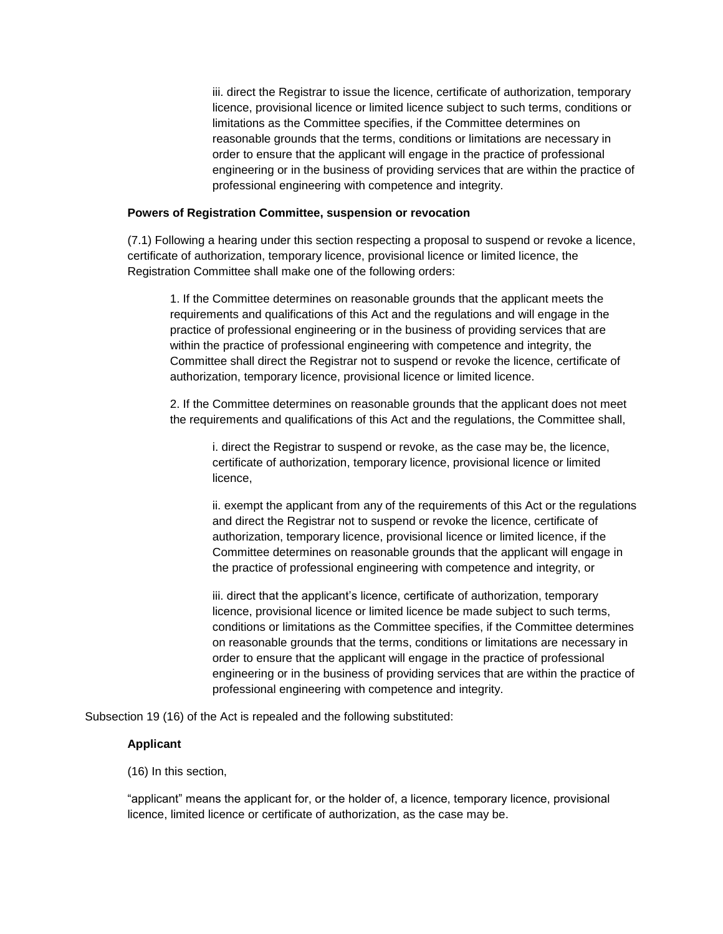iii. direct the Registrar to issue the licence, certificate of authorization, temporary licence, provisional licence or limited licence subject to such terms, conditions or limitations as the Committee specifies, if the Committee determines on reasonable grounds that the terms, conditions or limitations are necessary in order to ensure that the applicant will engage in the practice of professional engineering or in the business of providing services that are within the practice of professional engineering with competence and integrity.

#### **Powers of Registration Committee, suspension or revocation**

(7.1) Following a hearing under this section respecting a proposal to suspend or revoke a licence, certificate of authorization, temporary licence, provisional licence or limited licence, the Registration Committee shall make one of the following orders:

1. If the Committee determines on reasonable grounds that the applicant meets the requirements and qualifications of this Act and the regulations and will engage in the practice of professional engineering or in the business of providing services that are within the practice of professional engineering with competence and integrity, the Committee shall direct the Registrar not to suspend or revoke the licence, certificate of authorization, temporary licence, provisional licence or limited licence.

2. If the Committee determines on reasonable grounds that the applicant does not meet the requirements and qualifications of this Act and the regulations, the Committee shall,

i. direct the Registrar to suspend or revoke, as the case may be, the licence, certificate of authorization, temporary licence, provisional licence or limited licence,

ii. exempt the applicant from any of the requirements of this Act or the regulations and direct the Registrar not to suspend or revoke the licence, certificate of authorization, temporary licence, provisional licence or limited licence, if the Committee determines on reasonable grounds that the applicant will engage in the practice of professional engineering with competence and integrity, or

iii. direct that the applicant's licence, certificate of authorization, temporary licence, provisional licence or limited licence be made subject to such terms, conditions or limitations as the Committee specifies, if the Committee determines on reasonable grounds that the terms, conditions or limitations are necessary in order to ensure that the applicant will engage in the practice of professional engineering or in the business of providing services that are within the practice of professional engineering with competence and integrity.

Subsection 19 (16) of the Act is repealed and the following substituted:

#### **Applicant**

#### (16) In this section,

"applicant" means the applicant for, or the holder of, a licence, temporary licence, provisional licence, limited licence or certificate of authorization, as the case may be.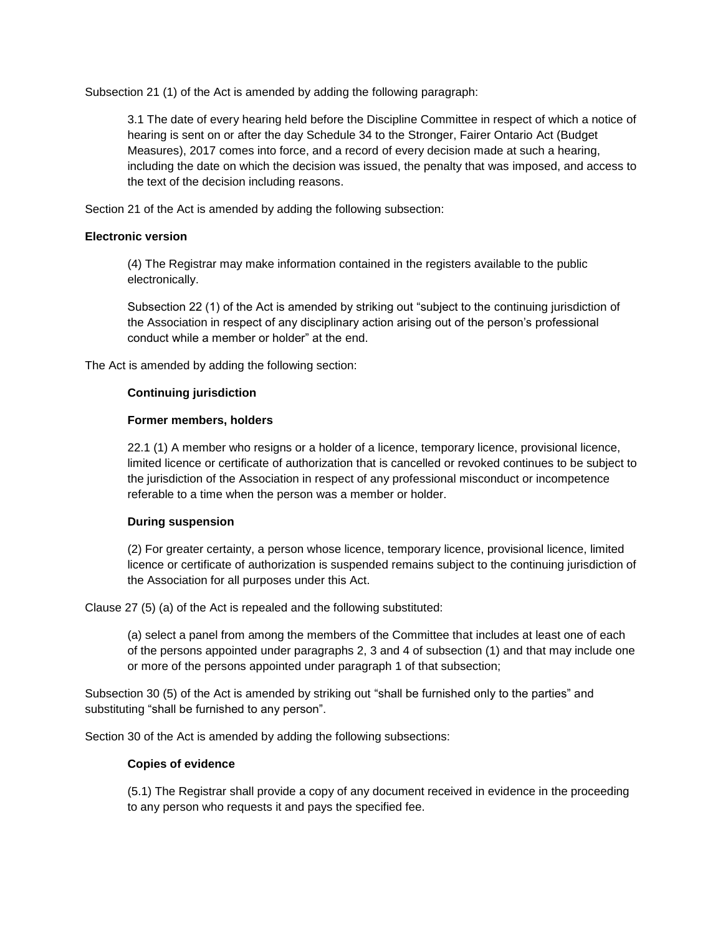Subsection 21 (1) of the Act is amended by adding the following paragraph:

3.1 The date of every hearing held before the Discipline Committee in respect of which a notice of hearing is sent on or after the day Schedule 34 to the Stronger, Fairer Ontario Act (Budget Measures), 2017 comes into force, and a record of every decision made at such a hearing, including the date on which the decision was issued, the penalty that was imposed, and access to the text of the decision including reasons.

Section 21 of the Act is amended by adding the following subsection:

## **Electronic version**

(4) The Registrar may make information contained in the registers available to the public electronically.

Subsection 22 (1) of the Act is amended by striking out "subject to the continuing jurisdiction of the Association in respect of any disciplinary action arising out of the person's professional conduct while a member or holder" at the end.

The Act is amended by adding the following section:

## **Continuing jurisdiction**

## **Former members, holders**

22.1 (1) A member who resigns or a holder of a licence, temporary licence, provisional licence, limited licence or certificate of authorization that is cancelled or revoked continues to be subject to the jurisdiction of the Association in respect of any professional misconduct or incompetence referable to a time when the person was a member or holder.

#### **During suspension**

(2) For greater certainty, a person whose licence, temporary licence, provisional licence, limited licence or certificate of authorization is suspended remains subject to the continuing jurisdiction of the Association for all purposes under this Act.

Clause 27 (5) (a) of the Act is repealed and the following substituted:

(a) select a panel from among the members of the Committee that includes at least one of each of the persons appointed under paragraphs 2, 3 and 4 of subsection (1) and that may include one or more of the persons appointed under paragraph 1 of that subsection;

Subsection 30 (5) of the Act is amended by striking out "shall be furnished only to the parties" and substituting "shall be furnished to any person".

Section 30 of the Act is amended by adding the following subsections:

#### **Copies of evidence**

(5.1) The Registrar shall provide a copy of any document received in evidence in the proceeding to any person who requests it and pays the specified fee.